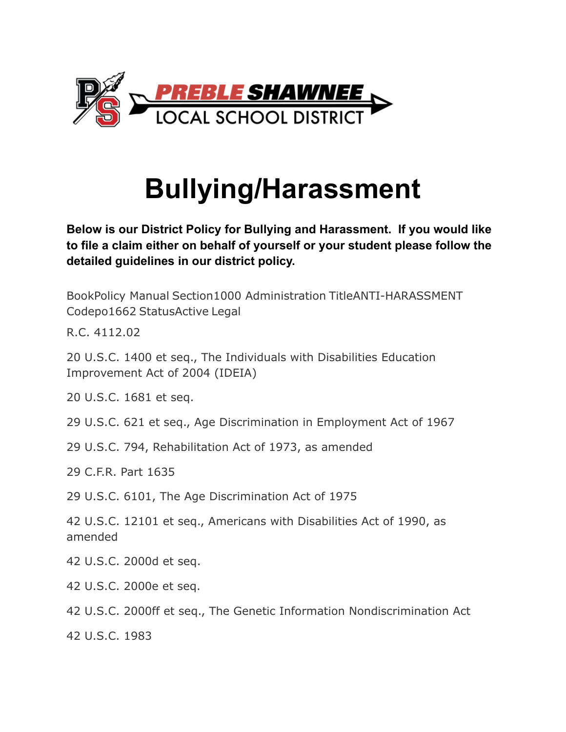

# **Bullying/Harassment**

**Below is our District Policy for Bullying and Harassment. If you would like to file a claim either on behalf of yourself or your student please follow the detailed guidelines in our district policy.**

BookPolicy Manual Section1000 Administration TitleANTI-HARASSMENT Codepo1662 StatusActive Legal

R.C. 4112.02

20 U.S.C. 1400 et seq., The Individuals with Disabilities Education Improvement Act of 2004 (IDEIA)

20 U.S.C. 1681 et seq.

29 U.S.C. 621 et seq., Age Discrimination in Employment Act of 1967

29 U.S.C. 794, Rehabilitation Act of 1973, as amended

29 C.F.R. Part 1635

29 U.S.C. 6101, The Age Discrimination Act of 1975

42 U.S.C. 12101 et seq., Americans with Disabilities Act of 1990, as amended

42 U.S.C. 2000d et seq.

42 U.S.C. 2000e et seq.

42 U.S.C. 2000ff et seq., The Genetic Information Nondiscrimination Act

42 U.S.C. 1983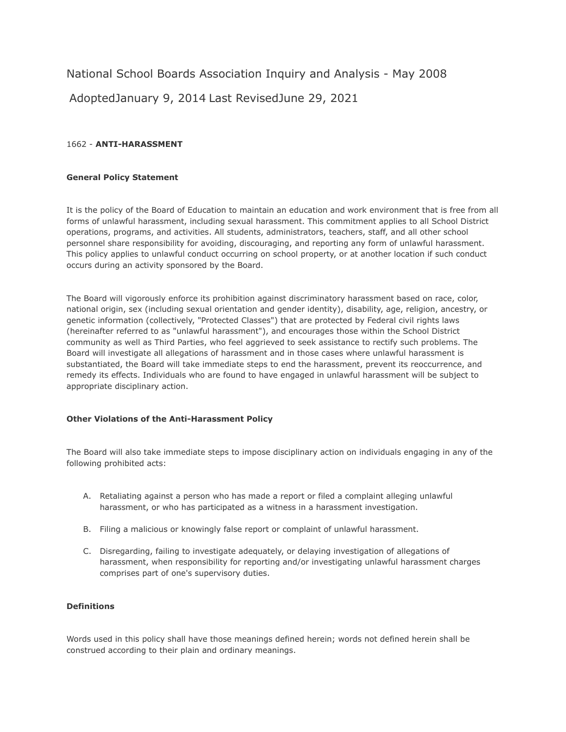# National School Boards Association Inquiry and Analysis - May 2008 AdoptedJanuary 9, 2014 Last RevisedJune 29, 2021

# 1662 - **ANTI-HARASSMENT**

### **General Policy Statement**

It is the policy of the Board of Education to maintain an education and work environment that is free from all forms of unlawful harassment, including sexual harassment. This commitment applies to all School District operations, programs, and activities. All students, administrators, teachers, staff, and all other school personnel share responsibility for avoiding, discouraging, and reporting any form of unlawful harassment. This policy applies to unlawful conduct occurring on school property, or at another location if such conduct occurs during an activity sponsored by the Board.

The Board will vigorously enforce its prohibition against discriminatory harassment based on race, color, national origin, sex (including sexual orientation and gender identity), disability, age, religion, ancestry, or genetic information (collectively, "Protected Classes") that are protected by Federal civil rights laws (hereinafter referred to as "unlawful harassment"), and encourages those within the School District community as well as Third Parties, who feel aggrieved to seek assistance to rectify such problems. The Board will investigate all allegations of harassment and in those cases where unlawful harassment is substantiated, the Board will take immediate steps to end the harassment, prevent its reoccurrence, and remedy its effects. Individuals who are found to have engaged in unlawful harassment will be subject to appropriate disciplinary action.

#### **Other Violations of the Anti-Harassment Policy**

The Board will also take immediate steps to impose disciplinary action on individuals engaging in any of the following prohibited acts:

- A. Retaliating against a person who has made a report or filed a complaint alleging unlawful harassment, or who has participated as a witness in a harassment investigation.
- B. Filing a malicious or knowingly false report or complaint of unlawful harassment.
- C. Disregarding, failing to investigate adequately, or delaying investigation of allegations of harassment, when responsibility for reporting and/or investigating unlawful harassment charges comprises part of one's supervisory duties.

# **Definitions**

Words used in this policy shall have those meanings defined herein; words not defined herein shall be construed according to their plain and ordinary meanings.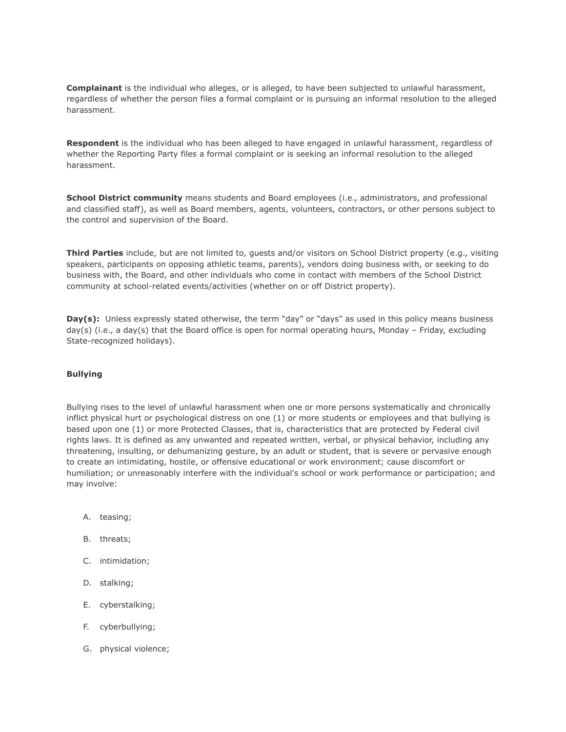**Complainant** is the individual who alleges, or is alleged, to have been subjected to unlawful harassment, regardless of whether the person files a formal complaint or is pursuing an informal resolution to the alleged harassment.

**Respondent** is the individual who has been alleged to have engaged in unlawful harassment, regardless of whether the Reporting Party files a formal complaint or is seeking an informal resolution to the alleged harassment.

**School District community** means students and Board employees (i.e., administrators, and professional and classified staff), as well as Board members, agents, volunteers, contractors, or other persons subject to the control and supervision of the Board.

**Third Parties** include, but are not limited to, guests and/or visitors on School District property (e.g., visiting speakers, participants on opposing athletic teams, parents), vendors doing business with, or seeking to do business with, the Board, and other individuals who come in contact with members of the School District community at school-related events/activities (whether on or off District property).

**Day(s):** Unless expressly stated otherwise, the term "day" or "days" as used in this policy means business day(s) (i.e., a day(s) that the Board office is open for normal operating hours, Monday – Friday, excluding State-recognized holidays).

#### **Bullying**

Bullying rises to the level of unlawful harassment when one or more persons systematically and chronically inflict physical hurt or psychological distress on one (1) or more students or employees and that bullying is based upon one (1) or more Protected Classes, that is, characteristics that are protected by Federal civil rights laws. It is defined as any unwanted and repeated written, verbal, or physical behavior, including any threatening, insulting, or dehumanizing gesture, by an adult or student, that is severe or pervasive enough to create an intimidating, hostile, or offensive educational or work environment; cause discomfort or humiliation; or unreasonably interfere with the individual's school or work performance or participation; and may involve:

- A. teasing;
- B. threats;
- C. intimidation;
- D. stalking;
- E. cyberstalking;
- F. cyberbullying;
- G. physical violence;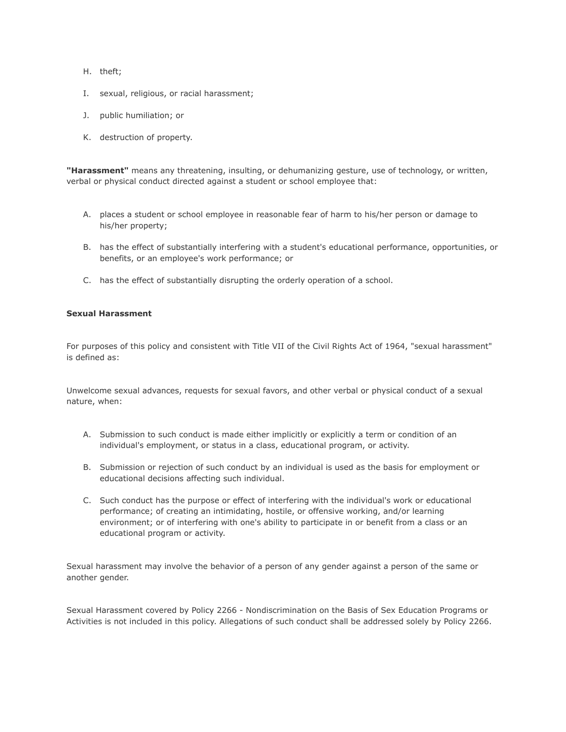- H. theft;
- I. sexual, religious, or racial harassment;
- J. public humiliation; or
- K. destruction of property.

**"Harassment"** means any threatening, insulting, or dehumanizing gesture, use of technology, or written, verbal or physical conduct directed against a student or school employee that:

- A. places a student or school employee in reasonable fear of harm to his/her person or damage to his/her property;
- B. has the effect of substantially interfering with a student's educational performance, opportunities, or benefits, or an employee's work performance; or
- C. has the effect of substantially disrupting the orderly operation of a school.

#### **Sexual Harassment**

For purposes of this policy and consistent with Title VII of the Civil Rights Act of 1964, "sexual harassment" is defined as:

Unwelcome sexual advances, requests for sexual favors, and other verbal or physical conduct of a sexual nature, when:

- A. Submission to such conduct is made either implicitly or explicitly a term or condition of an individual's employment, or status in a class, educational program, or activity.
- B. Submission or rejection of such conduct by an individual is used as the basis for employment or educational decisions affecting such individual.
- C. Such conduct has the purpose or effect of interfering with the individual's work or educational performance; of creating an intimidating, hostile, or offensive working, and/or learning environment; or of interfering with one's ability to participate in or benefit from a class or an educational program or activity.

Sexual harassment may involve the behavior of a person of any gender against a person of the same or another gender.

Sexual Harassment covered by Policy 2266 - Nondiscrimination on the Basis of Sex Education Programs or Activities is not included in this policy. Allegations of such conduct shall be addressed solely by Policy 2266.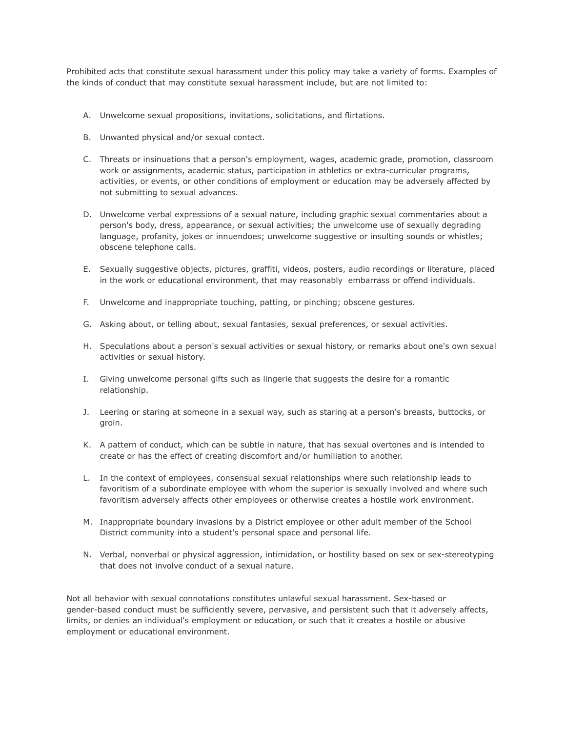Prohibited acts that constitute sexual harassment under this policy may take a variety of forms. Examples of the kinds of conduct that may constitute sexual harassment include, but are not limited to:

- A. Unwelcome sexual propositions, invitations, solicitations, and flirtations.
- B. Unwanted physical and/or sexual contact.
- C. Threats or insinuations that a person's employment, wages, academic grade, promotion, classroom work or assignments, academic status, participation in athletics or extra-curricular programs, activities, or events, or other conditions of employment or education may be adversely affected by not submitting to sexual advances.
- D. Unwelcome verbal expressions of a sexual nature, including graphic sexual commentaries about a person's body, dress, appearance, or sexual activities; the unwelcome use of sexually degrading language, profanity, jokes or innuendoes; unwelcome suggestive or insulting sounds or whistles; obscene telephone calls.
- E. Sexually suggestive objects, pictures, graffiti, videos, posters, audio recordings or literature, placed in the work or educational environment, that may reasonably embarrass or offend individuals.
- F. Unwelcome and inappropriate touching, patting, or pinching; obscene gestures.
- G. Asking about, or telling about, sexual fantasies, sexual preferences, or sexual activities.
- H. Speculations about a person's sexual activities or sexual history, or remarks about one's own sexual activities or sexual history.
- I. Giving unwelcome personal gifts such as lingerie that suggests the desire for a romantic relationship.
- J. Leering or staring at someone in a sexual way, such as staring at a person's breasts, buttocks, or groin.
- K. A pattern of conduct, which can be subtle in nature, that has sexual overtones and is intended to create or has the effect of creating discomfort and/or humiliation to another.
- L. In the context of employees, consensual sexual relationships where such relationship leads to favoritism of a subordinate employee with whom the superior is sexually involved and where such favoritism adversely affects other employees or otherwise creates a hostile work environment.
- M. Inappropriate boundary invasions by a District employee or other adult member of the School District community into a student's personal space and personal life.
- N. Verbal, nonverbal or physical aggression, intimidation, or hostility based on sex or sex-stereotyping that does not involve conduct of a sexual nature.

Not all behavior with sexual connotations constitutes unlawful sexual harassment. Sex-based or gender-based conduct must be sufficiently severe, pervasive, and persistent such that it adversely affects, limits, or denies an individual's employment or education, or such that it creates a hostile or abusive employment or educational environment.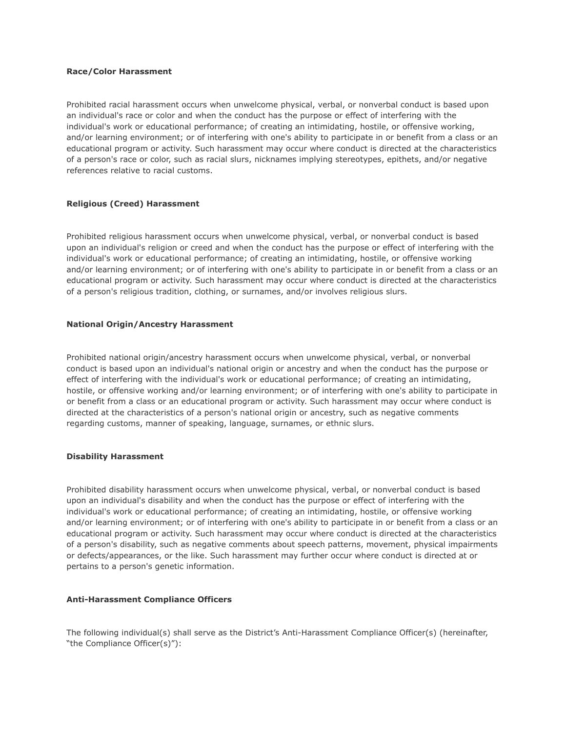#### **Race/Color Harassment**

Prohibited racial harassment occurs when unwelcome physical, verbal, or nonverbal conduct is based upon an individual's race or color and when the conduct has the purpose or effect of interfering with the individual's work or educational performance; of creating an intimidating, hostile, or offensive working, and/or learning environment; or of interfering with one's ability to participate in or benefit from a class or an educational program or activity. Such harassment may occur where conduct is directed at the characteristics of a person's race or color, such as racial slurs, nicknames implying stereotypes, epithets, and/or negative references relative to racial customs.

#### **Religious (Creed) Harassment**

Prohibited religious harassment occurs when unwelcome physical, verbal, or nonverbal conduct is based upon an individual's religion or creed and when the conduct has the purpose or effect of interfering with the individual's work or educational performance; of creating an intimidating, hostile, or offensive working and/or learning environment; or of interfering with one's ability to participate in or benefit from a class or an educational program or activity. Such harassment may occur where conduct is directed at the characteristics of a person's religious tradition, clothing, or surnames, and/or involves religious slurs.

#### **National Origin/Ancestry Harassment**

Prohibited national origin/ancestry harassment occurs when unwelcome physical, verbal, or nonverbal conduct is based upon an individual's national origin or ancestry and when the conduct has the purpose or effect of interfering with the individual's work or educational performance; of creating an intimidating, hostile, or offensive working and/or learning environment; or of interfering with one's ability to participate in or benefit from a class or an educational program or activity. Such harassment may occur where conduct is directed at the characteristics of a person's national origin or ancestry, such as negative comments regarding customs, manner of speaking, language, surnames, or ethnic slurs.

#### **Disability Harassment**

Prohibited disability harassment occurs when unwelcome physical, verbal, or nonverbal conduct is based upon an individual's disability and when the conduct has the purpose or effect of interfering with the individual's work or educational performance; of creating an intimidating, hostile, or offensive working and/or learning environment; or of interfering with one's ability to participate in or benefit from a class or an educational program or activity. Such harassment may occur where conduct is directed at the characteristics of a person's disability, such as negative comments about speech patterns, movement, physical impairments or defects/appearances, or the like. Such harassment may further occur where conduct is directed at or pertains to a person's genetic information.

#### **Anti-Harassment Compliance Officers**

The following individual(s) shall serve as the District's Anti-Harassment Compliance Officer(s) (hereinafter, "the Compliance Officer(s)"):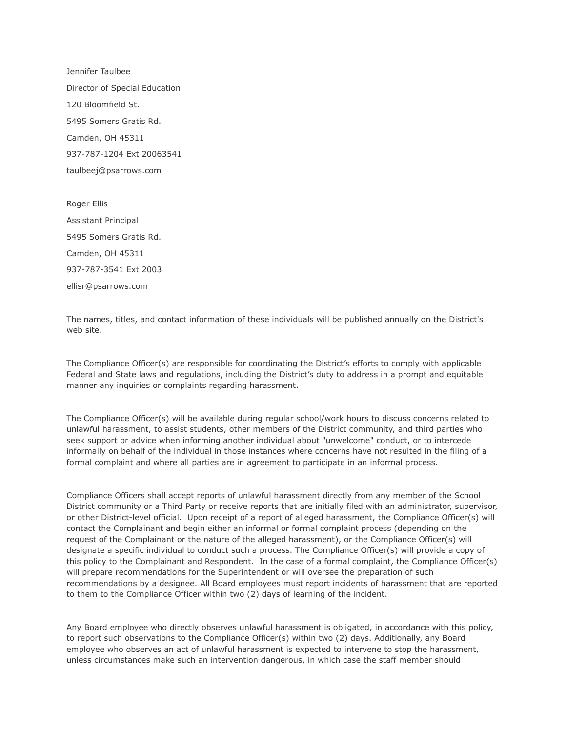Jennifer Taulbee Director of Special Education 120 Bloomfield St. 5495 Somers Gratis Rd. Camden, OH 45311 937-787-1204 Ext 20063541 taulbeej@psarrows.com

Roger Ellis Assistant Principal 5495 Somers Gratis Rd. Camden, OH 45311 937-787-3541 Ext 2003 ellisr@psarrows.com

The names, titles, and contact information of these individuals will be published annually on the District's web site.

The Compliance Officer(s) are responsible for coordinating the District's efforts to comply with applicable Federal and State laws and regulations, including the District's duty to address in a prompt and equitable manner any inquiries or complaints regarding harassment.

The Compliance Officer(s) will be available during regular school/work hours to discuss concerns related to unlawful harassment, to assist students, other members of the District community, and third parties who seek support or advice when informing another individual about "unwelcome" conduct, or to intercede informally on behalf of the individual in those instances where concerns have not resulted in the filing of a formal complaint and where all parties are in agreement to participate in an informal process.

Compliance Officers shall accept reports of unlawful harassment directly from any member of the School District community or a Third Party or receive reports that are initially filed with an administrator, supervisor, or other District-level official. Upon receipt of a report of alleged harassment, the Compliance Officer(s) will contact the Complainant and begin either an informal or formal complaint process (depending on the request of the Complainant or the nature of the alleged harassment), or the Compliance Officer(s) will designate a specific individual to conduct such a process. The Compliance Officer(s) will provide a copy of this policy to the Complainant and Respondent. In the case of a formal complaint, the Compliance Officer(s) will prepare recommendations for the Superintendent or will oversee the preparation of such recommendations by a designee. All Board employees must report incidents of harassment that are reported to them to the Compliance Officer within two (2) days of learning of the incident.

Any Board employee who directly observes unlawful harassment is obligated, in accordance with this policy, to report such observations to the Compliance Officer(s) within two (2) days. Additionally, any Board employee who observes an act of unlawful harassment is expected to intervene to stop the harassment, unless circumstances make such an intervention dangerous, in which case the staff member should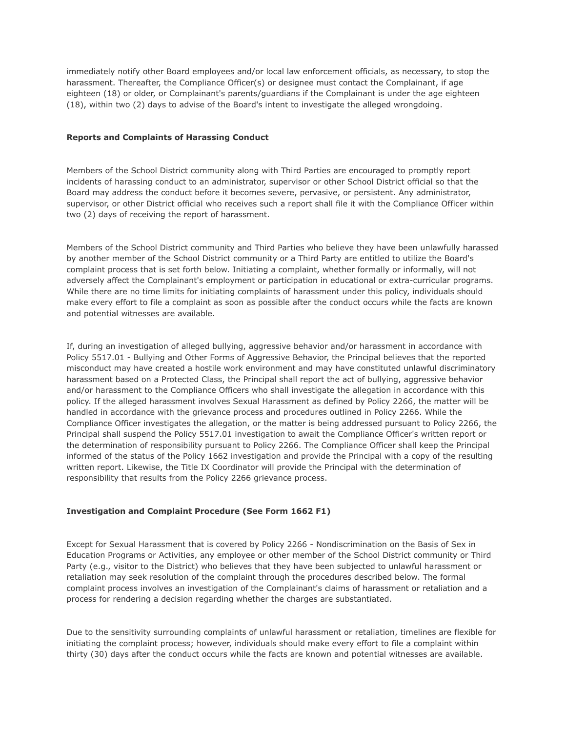immediately notify other Board employees and/or local law enforcement officials, as necessary, to stop the harassment. Thereafter, the Compliance Officer(s) or designee must contact the Complainant, if age eighteen (18) or older, or Complainant's parents/guardians if the Complainant is under the age eighteen (18), within two (2) days to advise of the Board's intent to investigate the alleged wrongdoing.

#### **Reports and Complaints of Harassing Conduct**

Members of the School District community along with Third Parties are encouraged to promptly report incidents of harassing conduct to an administrator, supervisor or other School District official so that the Board may address the conduct before it becomes severe, pervasive, or persistent. Any administrator, supervisor, or other District official who receives such a report shall file it with the Compliance Officer within two (2) days of receiving the report of harassment.

Members of the School District community and Third Parties who believe they have been unlawfully harassed by another member of the School District community or a Third Party are entitled to utilize the Board's complaint process that is set forth below. Initiating a complaint, whether formally or informally, will not adversely affect the Complainant's employment or participation in educational or extra-curricular programs. While there are no time limits for initiating complaints of harassment under this policy, individuals should make every effort to file a complaint as soon as possible after the conduct occurs while the facts are known and potential witnesses are available.

If, during an investigation of alleged bullying, aggressive behavior and/or harassment in accordance with Policy 5517.01 - Bullying and Other Forms of Aggressive Behavior, the Principal believes that the reported misconduct may have created a hostile work environment and may have constituted unlawful discriminatory harassment based on a Protected Class, the Principal shall report the act of bullying, aggressive behavior and/or harassment to the Compliance Officers who shall investigate the allegation in accordance with this policy. If the alleged harassment involves Sexual Harassment as defined by Policy 2266, the matter will be handled in accordance with the grievance process and procedures outlined in Policy 2266. While the Compliance Officer investigates the allegation, or the matter is being addressed pursuant to Policy 2266, the Principal shall suspend the Policy 5517.01 investigation to await the Compliance Officer's written report or the determination of responsibility pursuant to Policy 2266. The Compliance Officer shall keep the Principal informed of the status of the Policy 1662 investigation and provide the Principal with a copy of the resulting written report. Likewise, the Title IX Coordinator will provide the Principal with the determination of responsibility that results from the Policy 2266 grievance process.

# **Investigation and Complaint Procedure (See Form 1662 F1)**

Except for Sexual Harassment that is covered by Policy 2266 - Nondiscrimination on the Basis of Sex in Education Programs or Activities, any employee or other member of the School District community or Third Party (e.g., visitor to the District) who believes that they have been subjected to unlawful harassment or retaliation may seek resolution of the complaint through the procedures described below. The formal complaint process involves an investigation of the Complainant's claims of harassment or retaliation and a process for rendering a decision regarding whether the charges are substantiated.

Due to the sensitivity surrounding complaints of unlawful harassment or retaliation, timelines are flexible for initiating the complaint process; however, individuals should make every effort to file a complaint within thirty (30) days after the conduct occurs while the facts are known and potential witnesses are available.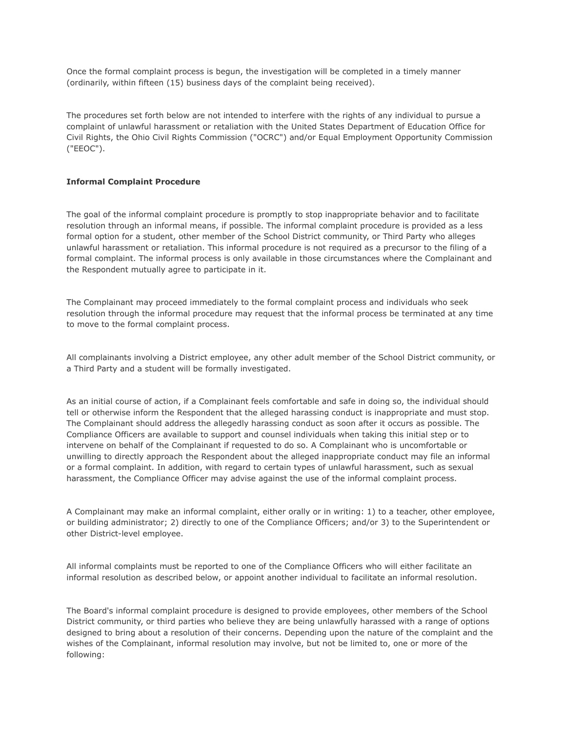Once the formal complaint process is begun, the investigation will be completed in a timely manner (ordinarily, within fifteen (15) business days of the complaint being received).

The procedures set forth below are not intended to interfere with the rights of any individual to pursue a complaint of unlawful harassment or retaliation with the United States Department of Education Office for Civil Rights, the Ohio Civil Rights Commission ("OCRC") and/or Equal Employment Opportunity Commission ("EEOC").

# **Informal Complaint Procedure**

The goal of the informal complaint procedure is promptly to stop inappropriate behavior and to facilitate resolution through an informal means, if possible. The informal complaint procedure is provided as a less formal option for a student, other member of the School District community, or Third Party who alleges unlawful harassment or retaliation. This informal procedure is not required as a precursor to the filing of a formal complaint. The informal process is only available in those circumstances where the Complainant and the Respondent mutually agree to participate in it.

The Complainant may proceed immediately to the formal complaint process and individuals who seek resolution through the informal procedure may request that the informal process be terminated at any time to move to the formal complaint process.

All complainants involving a District employee, any other adult member of the School District community, or a Third Party and a student will be formally investigated.

As an initial course of action, if a Complainant feels comfortable and safe in doing so, the individual should tell or otherwise inform the Respondent that the alleged harassing conduct is inappropriate and must stop. The Complainant should address the allegedly harassing conduct as soon after it occurs as possible. The Compliance Officers are available to support and counsel individuals when taking this initial step or to intervene on behalf of the Complainant if requested to do so. A Complainant who is uncomfortable or unwilling to directly approach the Respondent about the alleged inappropriate conduct may file an informal or a formal complaint. In addition, with regard to certain types of unlawful harassment, such as sexual harassment, the Compliance Officer may advise against the use of the informal complaint process.

A Complainant may make an informal complaint, either orally or in writing: 1) to a teacher, other employee, or building administrator; 2) directly to one of the Compliance Officers; and/or 3) to the Superintendent or other District-level employee.

All informal complaints must be reported to one of the Compliance Officers who will either facilitate an informal resolution as described below, or appoint another individual to facilitate an informal resolution.

The Board's informal complaint procedure is designed to provide employees, other members of the School District community, or third parties who believe they are being unlawfully harassed with a range of options designed to bring about a resolution of their concerns. Depending upon the nature of the complaint and the wishes of the Complainant, informal resolution may involve, but not be limited to, one or more of the following: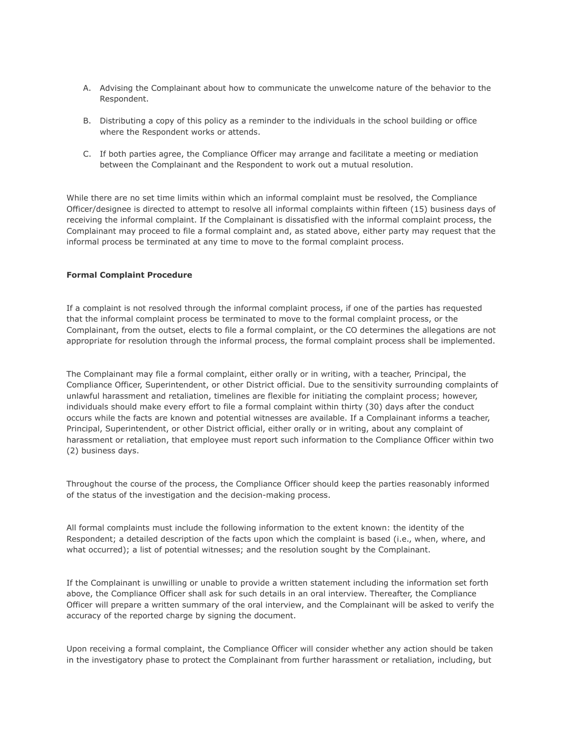- A. Advising the Complainant about how to communicate the unwelcome nature of the behavior to the Respondent.
- B. Distributing a copy of this policy as a reminder to the individuals in the school building or office where the Respondent works or attends.
- C. If both parties agree, the Compliance Officer may arrange and facilitate a meeting or mediation between the Complainant and the Respondent to work out a mutual resolution.

While there are no set time limits within which an informal complaint must be resolved, the Compliance Officer/designee is directed to attempt to resolve all informal complaints within fifteen (15) business days of receiving the informal complaint. If the Complainant is dissatisfied with the informal complaint process, the Complainant may proceed to file a formal complaint and, as stated above, either party may request that the informal process be terminated at any time to move to the formal complaint process.

#### **Formal Complaint Procedure**

If a complaint is not resolved through the informal complaint process, if one of the parties has requested that the informal complaint process be terminated to move to the formal complaint process, or the Complainant, from the outset, elects to file a formal complaint, or the CO determines the allegations are not appropriate for resolution through the informal process, the formal complaint process shall be implemented.

The Complainant may file a formal complaint, either orally or in writing, with a teacher, Principal, the Compliance Officer, Superintendent, or other District official. Due to the sensitivity surrounding complaints of unlawful harassment and retaliation, timelines are flexible for initiating the complaint process; however, individuals should make every effort to file a formal complaint within thirty (30) days after the conduct occurs while the facts are known and potential witnesses are available. If a Complainant informs a teacher, Principal, Superintendent, or other District official, either orally or in writing, about any complaint of harassment or retaliation, that employee must report such information to the Compliance Officer within two (2) business days.

Throughout the course of the process, the Compliance Officer should keep the parties reasonably informed of the status of the investigation and the decision-making process.

All formal complaints must include the following information to the extent known: the identity of the Respondent; a detailed description of the facts upon which the complaint is based (i.e., when, where, and what occurred); a list of potential witnesses; and the resolution sought by the Complainant.

If the Complainant is unwilling or unable to provide a written statement including the information set forth above, the Compliance Officer shall ask for such details in an oral interview. Thereafter, the Compliance Officer will prepare a written summary of the oral interview, and the Complainant will be asked to verify the accuracy of the reported charge by signing the document.

Upon receiving a formal complaint, the Compliance Officer will consider whether any action should be taken in the investigatory phase to protect the Complainant from further harassment or retaliation, including, but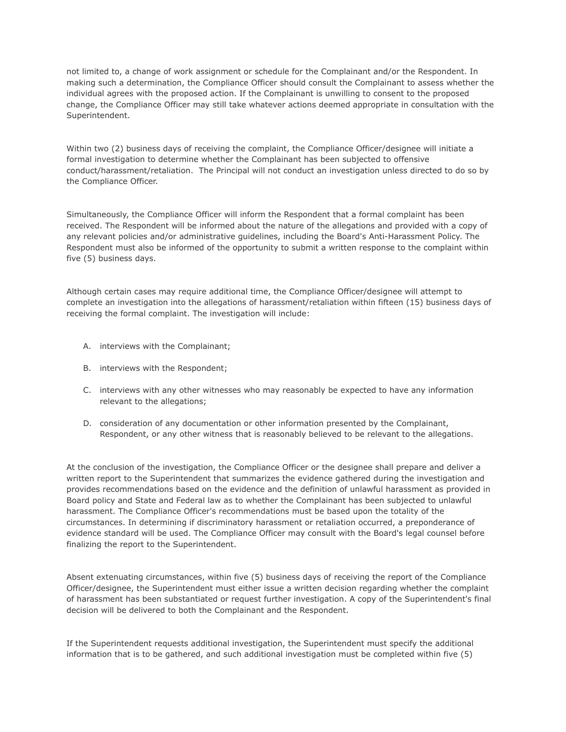not limited to, a change of work assignment or schedule for the Complainant and/or the Respondent. In making such a determination, the Compliance Officer should consult the Complainant to assess whether the individual agrees with the proposed action. If the Complainant is unwilling to consent to the proposed change, the Compliance Officer may still take whatever actions deemed appropriate in consultation with the Superintendent.

Within two (2) business days of receiving the complaint, the Compliance Officer/designee will initiate a formal investigation to determine whether the Complainant has been subjected to offensive conduct/harassment/retaliation. The Principal will not conduct an investigation unless directed to do so by the Compliance Officer.

Simultaneously, the Compliance Officer will inform the Respondent that a formal complaint has been received. The Respondent will be informed about the nature of the allegations and provided with a copy of any relevant policies and/or administrative guidelines, including the Board's Anti-Harassment Policy. The Respondent must also be informed of the opportunity to submit a written response to the complaint within five (5) business days.

Although certain cases may require additional time, the Compliance Officer/designee will attempt to complete an investigation into the allegations of harassment/retaliation within fifteen (15) business days of receiving the formal complaint. The investigation will include:

- A. interviews with the Complainant;
- B. interviews with the Respondent;
- C. interviews with any other witnesses who may reasonably be expected to have any information relevant to the allegations;
- D. consideration of any documentation or other information presented by the Complainant, Respondent, or any other witness that is reasonably believed to be relevant to the allegations.

At the conclusion of the investigation, the Compliance Officer or the designee shall prepare and deliver a written report to the Superintendent that summarizes the evidence gathered during the investigation and provides recommendations based on the evidence and the definition of unlawful harassment as provided in Board policy and State and Federal law as to whether the Complainant has been subjected to unlawful harassment. The Compliance Officer's recommendations must be based upon the totality of the circumstances. In determining if discriminatory harassment or retaliation occurred, a preponderance of evidence standard will be used. The Compliance Officer may consult with the Board's legal counsel before finalizing the report to the Superintendent.

Absent extenuating circumstances, within five (5) business days of receiving the report of the Compliance Officer/designee, the Superintendent must either issue a written decision regarding whether the complaint of harassment has been substantiated or request further investigation. A copy of the Superintendent's final decision will be delivered to both the Complainant and the Respondent.

If the Superintendent requests additional investigation, the Superintendent must specify the additional information that is to be gathered, and such additional investigation must be completed within five (5)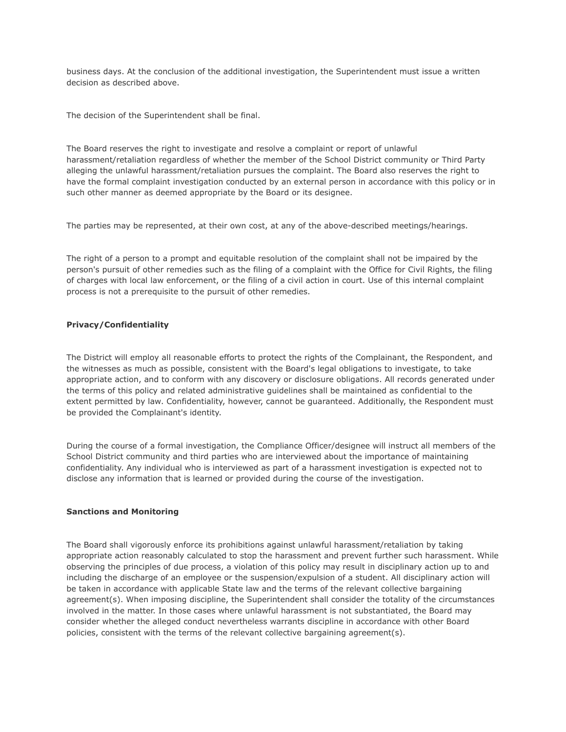business days. At the conclusion of the additional investigation, the Superintendent must issue a written decision as described above.

The decision of the Superintendent shall be final.

The Board reserves the right to investigate and resolve a complaint or report of unlawful harassment/retaliation regardless of whether the member of the School District community or Third Party alleging the unlawful harassment/retaliation pursues the complaint. The Board also reserves the right to have the formal complaint investigation conducted by an external person in accordance with this policy or in such other manner as deemed appropriate by the Board or its designee.

The parties may be represented, at their own cost, at any of the above-described meetings/hearings.

The right of a person to a prompt and equitable resolution of the complaint shall not be impaired by the person's pursuit of other remedies such as the filing of a complaint with the Office for Civil Rights, the filing of charges with local law enforcement, or the filing of a civil action in court. Use of this internal complaint process is not a prerequisite to the pursuit of other remedies.

#### **Privacy/Confidentiality**

The District will employ all reasonable efforts to protect the rights of the Complainant, the Respondent, and the witnesses as much as possible, consistent with the Board's legal obligations to investigate, to take appropriate action, and to conform with any discovery or disclosure obligations. All records generated under the terms of this policy and related administrative guidelines shall be maintained as confidential to the extent permitted by law. Confidentiality, however, cannot be guaranteed. Additionally, the Respondent must be provided the Complainant's identity.

During the course of a formal investigation, the Compliance Officer/designee will instruct all members of the School District community and third parties who are interviewed about the importance of maintaining confidentiality. Any individual who is interviewed as part of a harassment investigation is expected not to disclose any information that is learned or provided during the course of the investigation.

#### **Sanctions and Monitoring**

The Board shall vigorously enforce its prohibitions against unlawful harassment/retaliation by taking appropriate action reasonably calculated to stop the harassment and prevent further such harassment. While observing the principles of due process, a violation of this policy may result in disciplinary action up to and including the discharge of an employee or the suspension/expulsion of a student. All disciplinary action will be taken in accordance with applicable State law and the terms of the relevant collective bargaining agreement(s). When imposing discipline, the Superintendent shall consider the totality of the circumstances involved in the matter. In those cases where unlawful harassment is not substantiated, the Board may consider whether the alleged conduct nevertheless warrants discipline in accordance with other Board policies, consistent with the terms of the relevant collective bargaining agreement(s).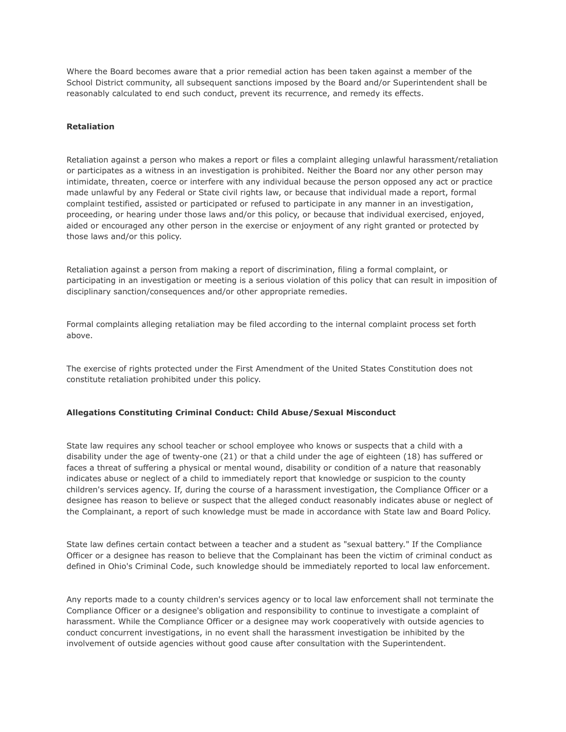Where the Board becomes aware that a prior remedial action has been taken against a member of the School District community, all subsequent sanctions imposed by the Board and/or Superintendent shall be reasonably calculated to end such conduct, prevent its recurrence, and remedy its effects.

### **Retaliation**

Retaliation against a person who makes a report or files a complaint alleging unlawful harassment/retaliation or participates as a witness in an investigation is prohibited. Neither the Board nor any other person may intimidate, threaten, coerce or interfere with any individual because the person opposed any act or practice made unlawful by any Federal or State civil rights law, or because that individual made a report, formal complaint testified, assisted or participated or refused to participate in any manner in an investigation, proceeding, or hearing under those laws and/or this policy, or because that individual exercised, enjoyed, aided or encouraged any other person in the exercise or enjoyment of any right granted or protected by those laws and/or this policy.

Retaliation against a person from making a report of discrimination, filing a formal complaint, or participating in an investigation or meeting is a serious violation of this policy that can result in imposition of disciplinary sanction/consequences and/or other appropriate remedies.

Formal complaints alleging retaliation may be filed according to the internal complaint process set forth above.

The exercise of rights protected under the First Amendment of the United States Constitution does not constitute retaliation prohibited under this policy.

#### **Allegations Constituting Criminal Conduct: Child Abuse/Sexual Misconduct**

State law requires any school teacher or school employee who knows or suspects that a child with a disability under the age of twenty-one (21) or that a child under the age of eighteen (18) has suffered or faces a threat of suffering a physical or mental wound, disability or condition of a nature that reasonably indicates abuse or neglect of a child to immediately report that knowledge or suspicion to the county children's services agency. If, during the course of a harassment investigation, the Compliance Officer or a designee has reason to believe or suspect that the alleged conduct reasonably indicates abuse or neglect of the Complainant, a report of such knowledge must be made in accordance with State law and Board Policy.

State law defines certain contact between a teacher and a student as "sexual battery." If the Compliance Officer or a designee has reason to believe that the Complainant has been the victim of criminal conduct as defined in Ohio's Criminal Code, such knowledge should be immediately reported to local law enforcement.

Any reports made to a county children's services agency or to local law enforcement shall not terminate the Compliance Officer or a designee's obligation and responsibility to continue to investigate a complaint of harassment. While the Compliance Officer or a designee may work cooperatively with outside agencies to conduct concurrent investigations, in no event shall the harassment investigation be inhibited by the involvement of outside agencies without good cause after consultation with the Superintendent.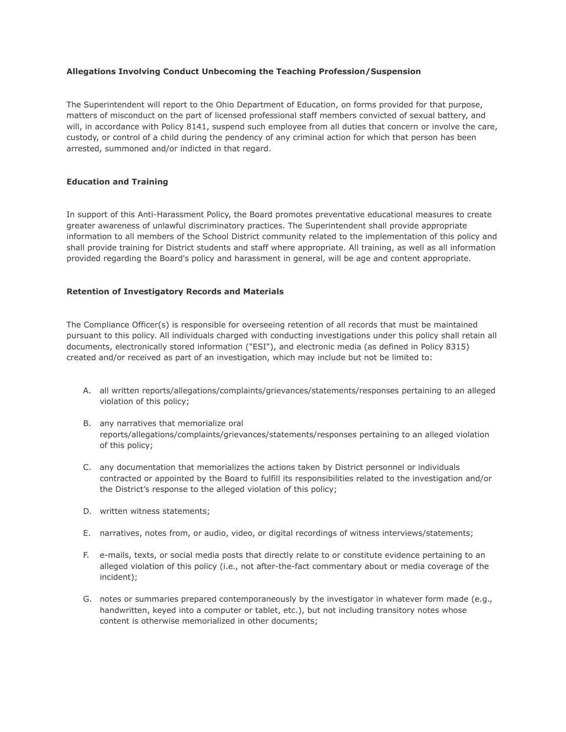# **Allegations Involving Conduct Unbecoming the Teaching Profession/Suspension**

The Superintendent will report to the Ohio Department of Education, on forms provided for that purpose, matters of misconduct on the part of licensed professional staff members convicted of sexual battery, and will, in accordance with Policy 8141, suspend such employee from all duties that concern or involve the care, custody, or control of a child during the pendency of any criminal action for which that person has been arrested, summoned and/or indicted in that regard.

# **Education and Training**

In support of this Anti-Harassment Policy, the Board promotes preventative educational measures to create greater awareness of unlawful discriminatory practices. The Superintendent shall provide appropriate information to all members of the School District community related to the implementation of this policy and shall provide training for District students and staff where appropriate. All training, as well as all information provided regarding the Board's policy and harassment in general, will be age and content appropriate.

#### **Retention of Investigatory Records and Materials**

The Compliance Officer(s) is responsible for overseeing retention of all records that must be maintained pursuant to this policy. All individuals charged with conducting investigations under this policy shall retain all documents, electronically stored information ("ESI"), and electronic media (as defined in Policy 8315) created and/or received as part of an investigation, which may include but not be limited to:

- A. all written reports/allegations/complaints/grievances/statements/responses pertaining to an alleged violation of this policy;
- B. any narratives that memorialize oral reports/allegations/complaints/grievances/statements/responses pertaining to an alleged violation of this policy;
- C. any documentation that memorializes the actions taken by District personnel or individuals contracted or appointed by the Board to fulfill its responsibilities related to the investigation and/or the District's response to the alleged violation of this policy;
- D. written witness statements;
- E. narratives, notes from, or audio, video, or digital recordings of witness interviews/statements;
- F. e-mails, texts, or social media posts that directly relate to or constitute evidence pertaining to an alleged violation of this policy (i.e., not after-the-fact commentary about or media coverage of the incident);
- G. notes or summaries prepared contemporaneously by the investigator in whatever form made (e.g., handwritten, keyed into a computer or tablet, etc.), but not including transitory notes whose content is otherwise memorialized in other documents;